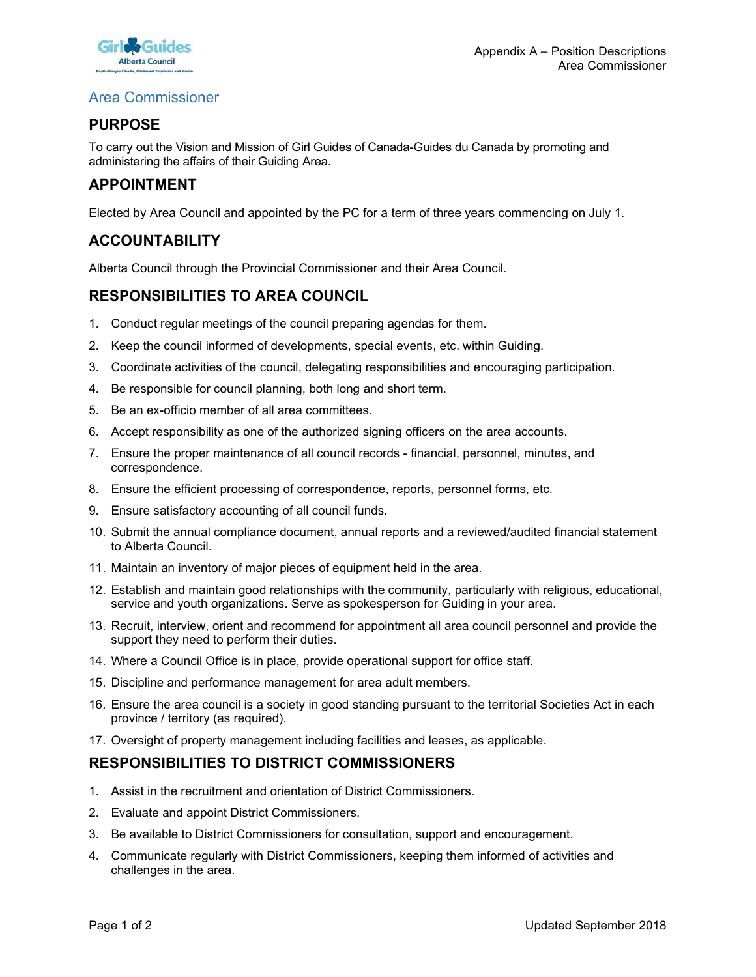

## Area Commissioner

# PURPOSE

To carry out the Vision and Mission of Girl Guides of Canada-Guides du Canada by promoting and administering the affairs of their Guiding Area. **Example 19 Appendix A** – Position Descriptions<br>
Alternation Manufacture<br> **PURPOSE**<br>
To carry out the Vision and Mission of Girl Guides of Canada-Guides du Canada by promoting and<br> **APPOINTMENT**<br>
Elected by Area Council an 1. Contributed a Constant of the Conduct regular meetings of the conduction of Girl Guides of Canada-Guides du Canada by promoting a<br>
1. Co carry out the Vision and Mission of Girl Guides of Canada-Guides du Canada by prom **2. Keep the council informed of developments, special events, etc. within Guiding Area Commission Area Commission of Girl Guiding Area.**<br> **2. Keep the council information of Girl Guiding Area.**<br> **2. Keep the council and a** 3. Commissioner<br>3. Commissioner Appendix A – Position Descriptions<br>
2. Commissioner<br>
2. Commissioner<br>
2. Commission of Girl Guides of Canada-Guides du Canada by promoting and<br>
3. APPOINTMENT<br>
2. Keep the council and appoin **Example Solution School School School School School School School School School School School School School School School School School School School School School School School School School School School School School S** Area Commissioner<br> **PURPOSE**<br>
To carry out the Vision and Mission of Girl Guides of Canada-Guides du Canada<br>
administering the affairs of their Guiding Area.<br> **APPOINTMENT**<br>
Elected by Area Council and appointed by the PC **FURPOSE**<br>
To carry out the Vision and Mission of Girl Guides of Canada-Guides du Canada by promoting and<br>
administering the affairs of their Guiding Area.<br> **APPOINTMENT**<br>
Elected by Area Council and appointed by the PC fo To carry out the Vision and Mission of Girl Guides of Canada-Guides du Canada by promoting and<br>administering the affairs of their Guiding Area.<br> **APPOINTMENT**<br>
Elected by Area Council and appointed by the PC for a term of

### APPOINTMENT

## **ACCOUNTABILITY**

Alberta Council through the Provincial Commissioner and their Area Council.

# RESPONSIBILITIES TO AREA COUNCIL

- 
- 
- 
- 
- 
- 
- correspondence.
- 
- 
- **APPOINTMENT**<br> **Elected** by Area Council and appointed by the PC for a term of three years commencing on July 1.<br> **ACCOUNTABILITY**<br>
ANDERIA COUNTABILITY<br>
ANDERIA COUNTABILITY<br>
1. Conduct regular meetings of the council pre Elected by Area Council and appointed by the PC for a term of three years concerted by Area Council and appointed by the PC for a term of thee years concerted and the council from the Provincial Commissioner and their Area Elected by Area Council and appointed by the PC for a term of three years commencing on July 1.<br> **ACCOUNTABILITYEY**<br>
AIDENTA CONDICTIVE TO AREA COUNCIL<br>
1. Conduct regular meetings of the council preparing agendas for them to Alberta Council. **EXECT THEST THEST TO AREA COUNCIL**<br> **RESPONSIBILITIES TO AREA COUNCIL**<br>
1. Conduct regular meetings of the council preparing agendas for them.<br>
2. Keep the council informed of developments, special events, etc. within Gui Noeria Council mrough the Provincial Commissioner and their Area Council.<br>
1. Conduct regular meetings of the council preparing agendas for them.<br>
1. Conduct regular meetings of the council, delegating responsibilities and 1. Conduct regular meetings of the council preparing agendas for them.<br>
2. Keep the council informed of developments, special events, etc. within Guiding.<br>
3. Coordinate activities of the council, delegating responsibiliti 16. Keep the council informed of developments, special events, etc. within Guiding.<br>
26. Coordinate activities of the council, delegating responsibilities and encouraging participation.<br>
46. Be an ex-officio member of all 26. Coordinate activities of the council, delegating responsibilities and encouraging participly.<br>4. Be an ex-officio member of all area committees.<br>5. Be an ex-officio member of all area committees.<br>6. Accept responsibili 4. Be responsible for council planning, both long and short term.<br>
5. Be an ex-officio member of all rare committees.<br>
6. Accept responsibility as one of the authorized signing officers on the area accounts.<br>
7. Ensure the Be an ex-officio member of all area committees.<br>Accept responsibility as one of the authorized signing officers on the area accounts.<br>Ensure the proper maintenance of all council records - financial, personnel, minutes,<br>co 6. Accept responsibility as one of the authorized signing officers on the area accounts.<br>
7. Ensure the proper maintenance of all council records - financial, personnel, minutes, and<br>
2. Ensure the efficient processing of 8. Ensure the efficient processing of correspondence, reports, personnel forms, etc.<br>
9. Ensure satisfactory accounting of all council funds.<br>
10. Submit the annual compliance document, annual reports and a reviewed/audite 8. Ensure the entitient plotessing of correspondence, reports, personner off and a new and smolling the annual compliance document, annual reports and a reviewed/to Abberta Council.<br>10. Submit the annual compliance documen 3. Ensue satistation accolonistic commissiones for consultation, support and encouragement.<br>10. Submit the annual compliance document, annual reports and a reviewed/audited financial statement<br>12. Establish and maintain go
- 
- service and youth organizations. Serve as spokesperson for Guiding in your area.
- support they need to perform their duties.
- 
- 
- service and youth organizations. Serve as spokesperson for Guiding in your area.<br>
The Recutit, interview, orient and recommend for appointment all area council personnel and provide the<br>
support they need to perform their 1. Naintain an invention of major strategies and a revelevant<br>
1. Maintain an inventory of major pieces of equipment held in the area.<br>
11. Maintain an inventory of major pieces of equipment held in the area.<br>
12. Statsbis
- 

# RESPONSIBILITIES TO DISTRICT COMMISSIONERS

- 
- 
- 
- challenges in the area.